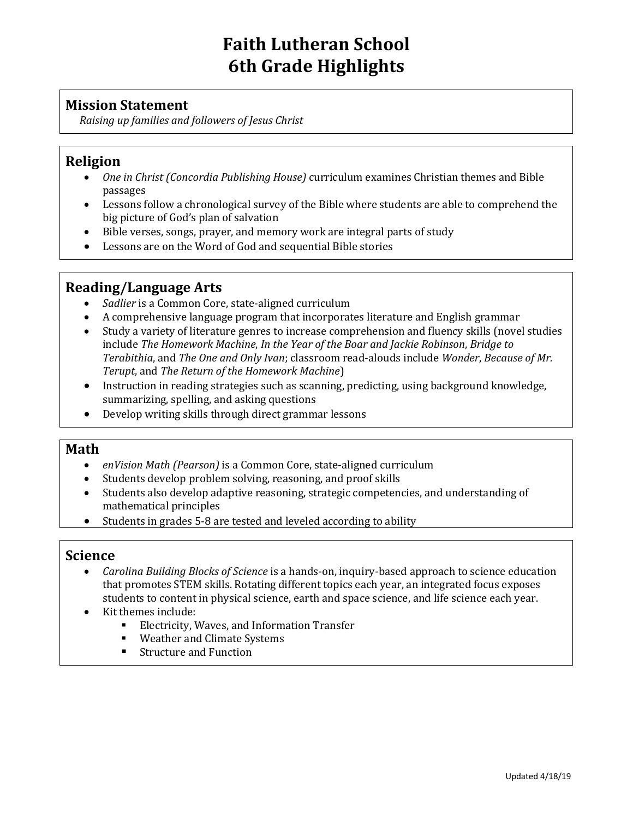# **Faith Lutheran School 6th Grade Highlights**

## **Mission Statement**

*Raising up families and followers of Jesus Christ*

## **Religion**

- *One in Christ (Concordia Publishing House)* curriculum examines Christian themes and Bible passages
- Lessons follow a chronological survey of the Bible where students are able to comprehend the big picture of God's plan of salvation
- Bible verses, songs, prayer, and memory work are integral parts of study
- Lessons are on the Word of God and sequential Bible stories

#### **Reading/Language Arts**

- *Sadlier* is a Common Core, state-aligned curriculum
- A comprehensive language program that incorporates literature and English grammar
- Study a variety of literature genres to increase comprehension and fluency skills (novel studies include *The Homework Machine*, *In the Year of the Boar and Jackie Robinson*, *Bridge to Terabithia*, and *The One and Only Ivan*; classroom read-alouds include *Wonder*, *Because of Mr. Terupt*, and *The Return of the Homework Machine*)
- Instruction in reading strategies such as scanning, predicting, using background knowledge, summarizing, spelling, and asking questions
- Develop writing skills through direct grammar lessons

#### **Math**

- *enVision Math (Pearson)* is a Common Core, state-aligned curriculum
- Students develop problem solving, reasoning, and proof skills
- Students also develop adaptive reasoning, strategic competencies, and understanding of mathematical principles
- Students in grades 5-8 are tested and leveled according to ability

#### **Science**

- *Carolina Building Blocks of Science* is a hands-on, inquiry-based approach to science education that promotes STEM skills. Rotating different topics each year, an integrated focus exposes students to content in physical science, earth and space science, and life science each year.
- Kit themes include:
	- Electricity, Waves, and Information Transfer
	- Weather and Climate Systems
	- Structure and Function